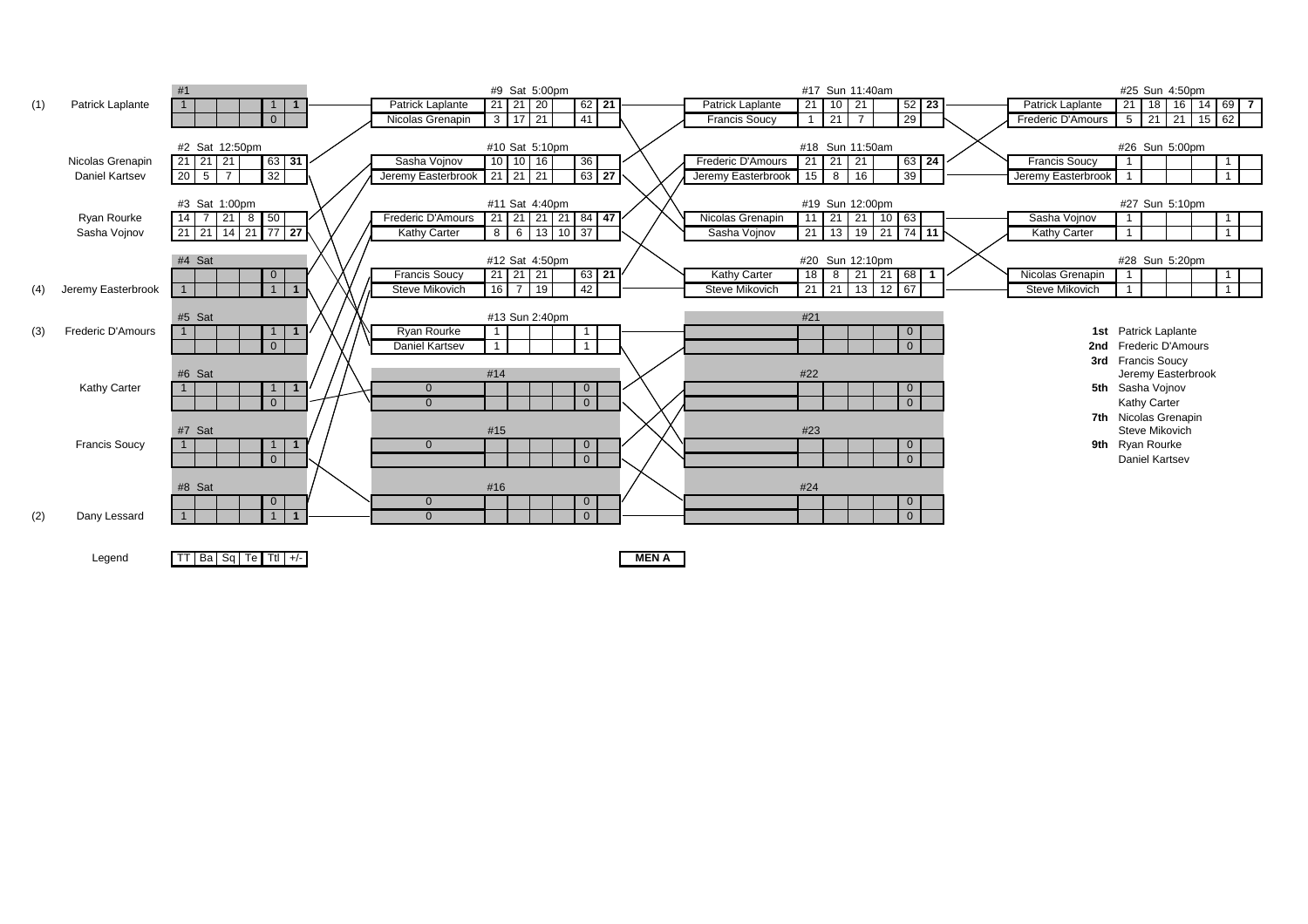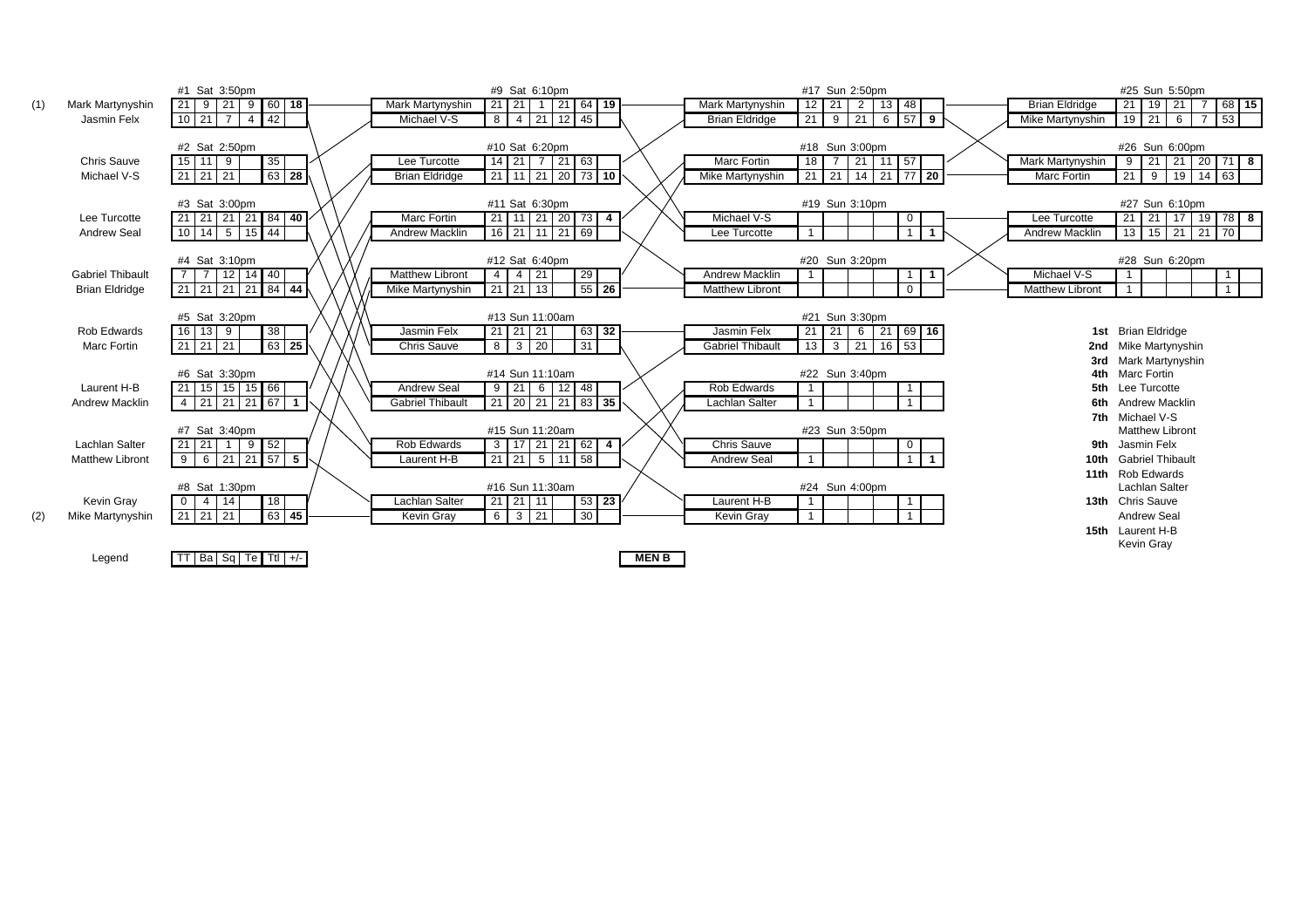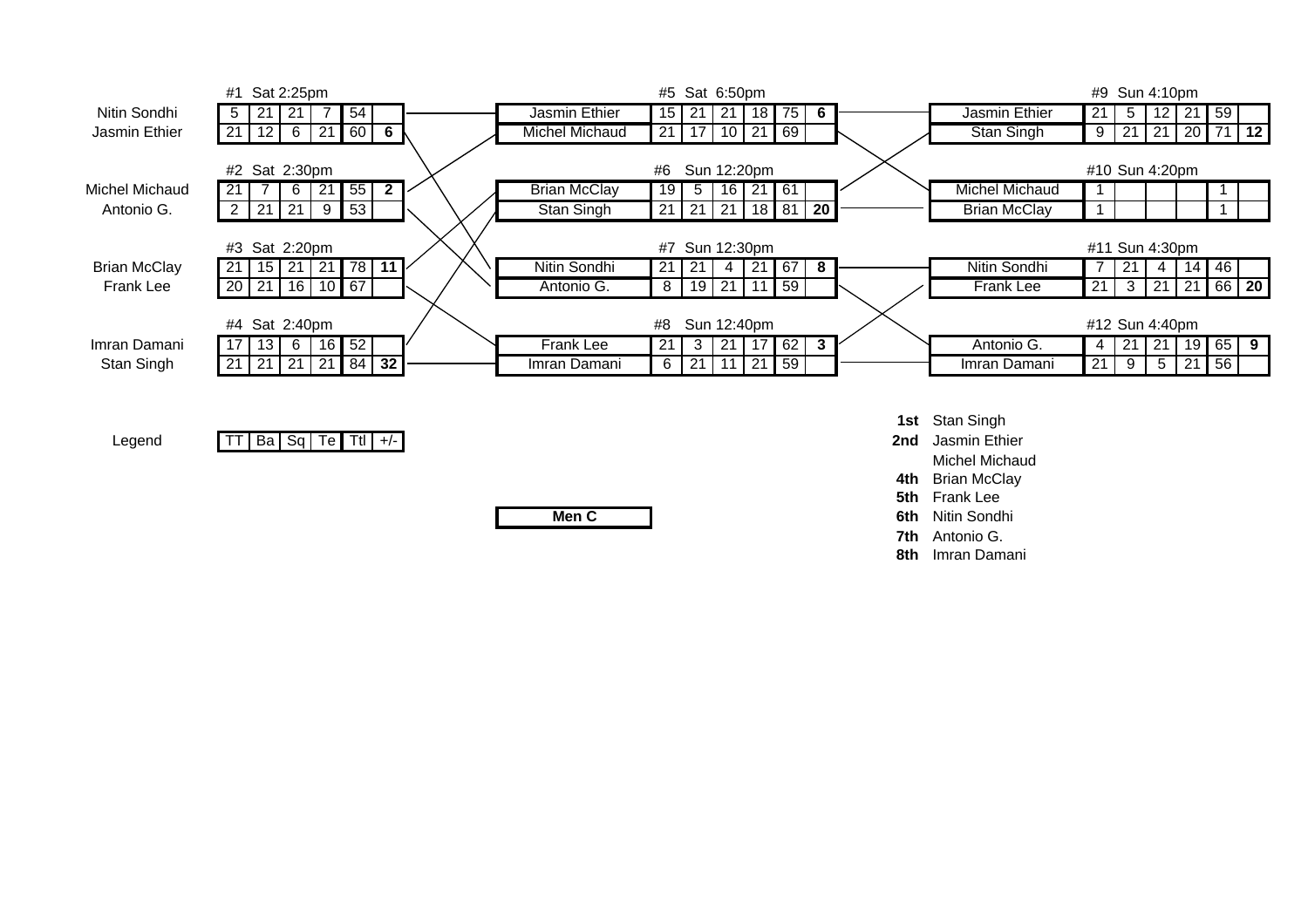

**Men C**

**6th Nitin Sondhi**<br> **6th Nitin Sondhi 7th** Antonio G.

**8th** Imran Damani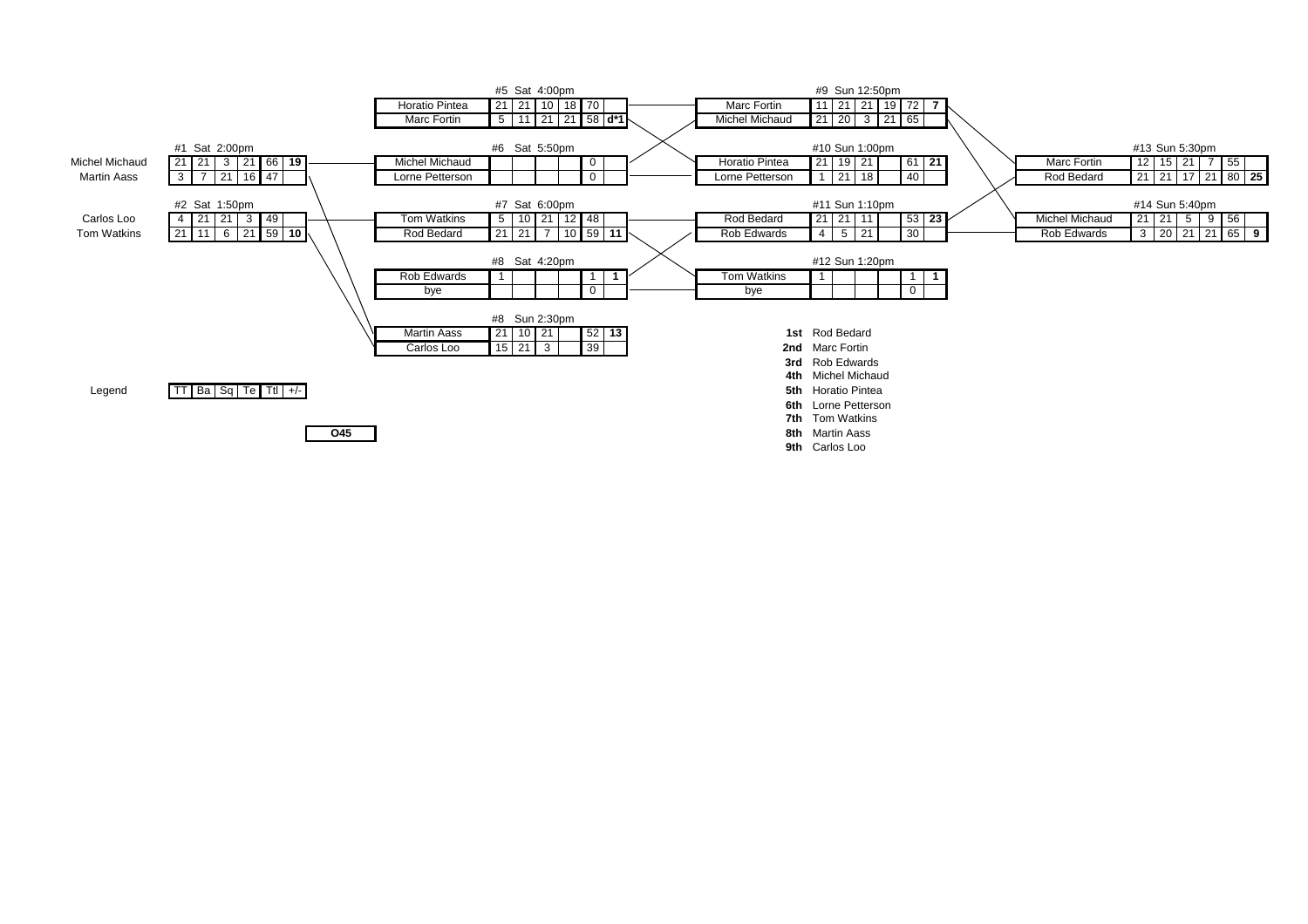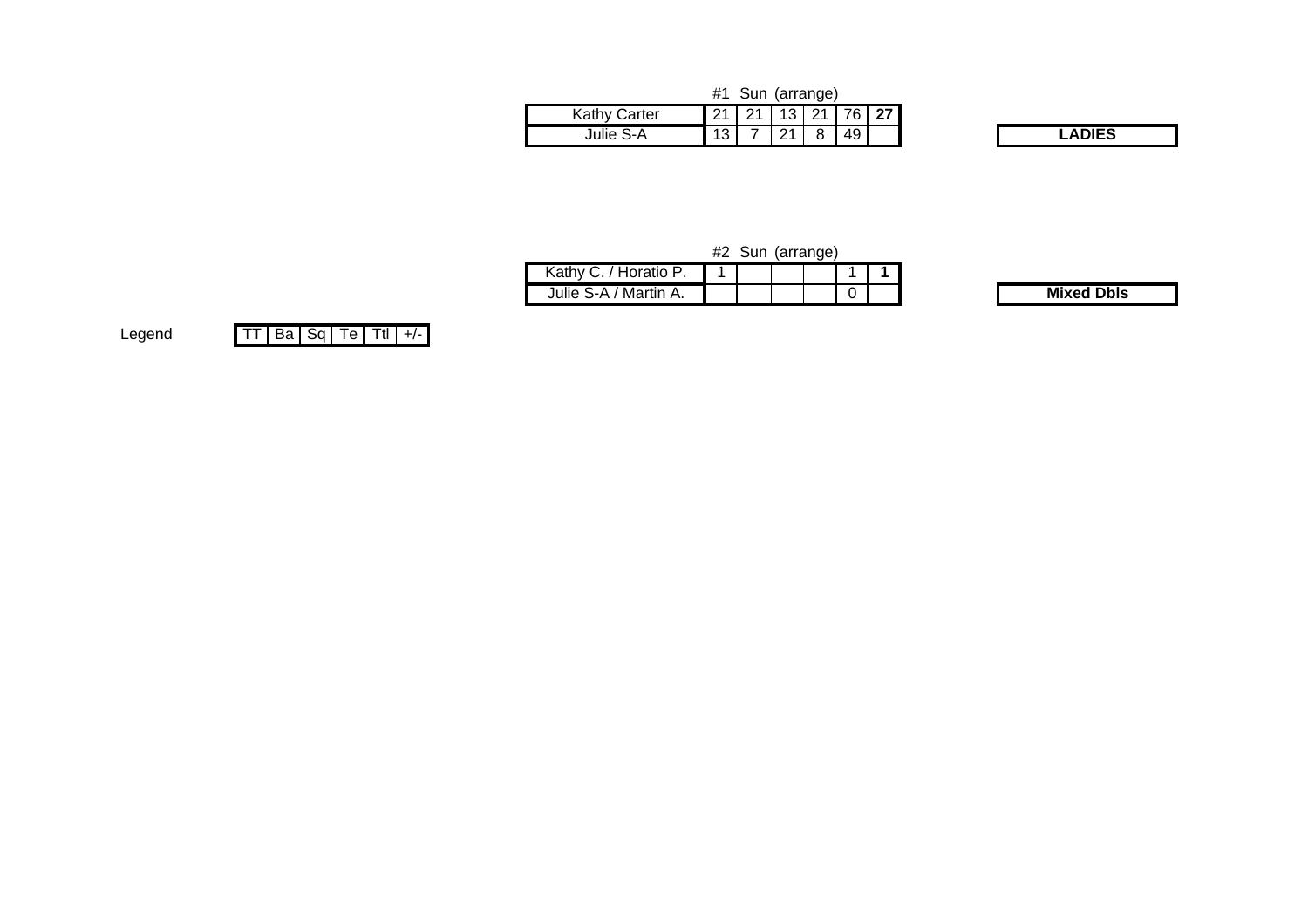|                     | #1   |      | Sun (arrange) |   |                              |  |
|---------------------|------|------|---------------|---|------------------------------|--|
| <b>Kathy Carter</b> | . 21 | ົດ 4 |               |   | $13 \mid 21 \mid 76 \mid 27$ |  |
| Julie S-A           | 13   |      | <u>.</u>      | O | 49 <sup>1</sup>              |  |

Julie S-A / Martin A.

|                       | #2 Sun (arrange) |  |  |
|-----------------------|------------------|--|--|
| Kathy C. / Horatio P. |                  |  |  |
|                       |                  |  |  |

. . . . . . . . 0

**Mixed Dbls**

LegendTT Ba Sq Te Ttl +/-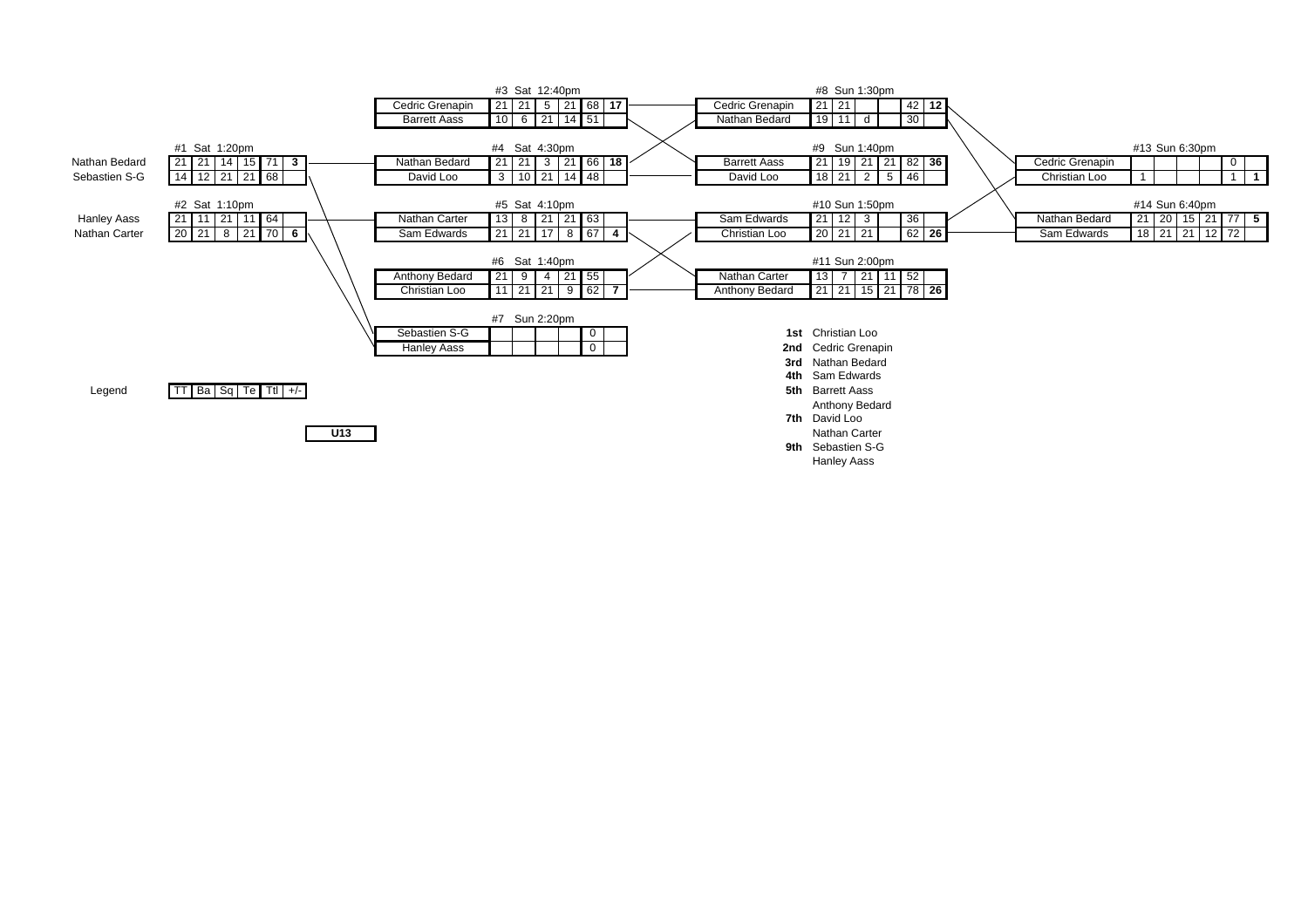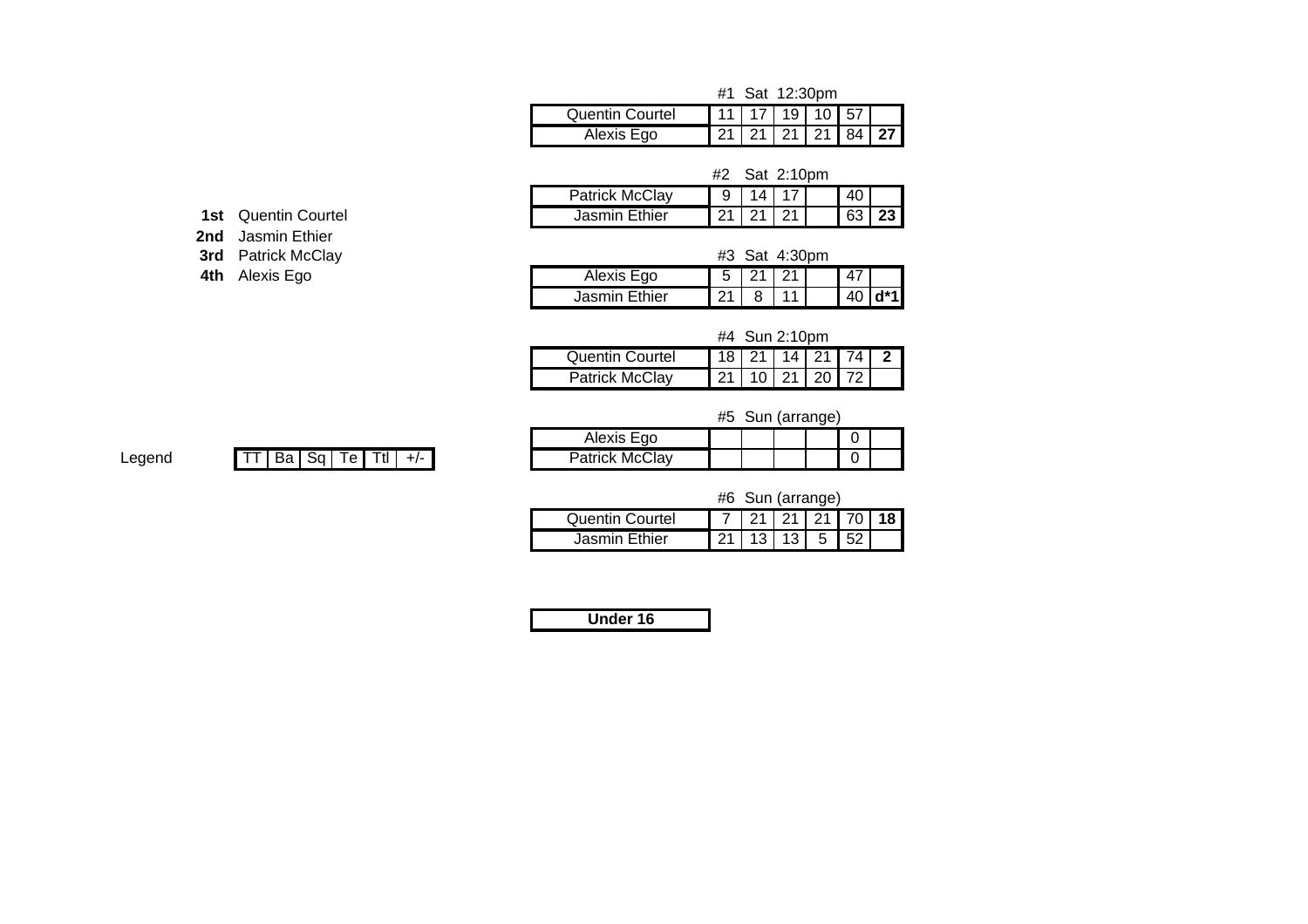|  | #1 Sat 12:30pm |
|--|----------------|
|  |                |

| Quentin Courtel |  |  | 11   17   19   10   57                 |  |
|-----------------|--|--|----------------------------------------|--|
| Fαol<br>AIRXIS  |  |  | $\overline{21}$ 21   21   21   84   27 |  |

#2 Sat 2:10pm

| Patrick McClay | u                  |   |  | 40 |   |
|----------------|--------------------|---|--|----|---|
| Jasmin Ethier  | $\sim$<br><u>.</u> | - |  | 63 | … |

**1st** Quentin Courtel

**2nd** Jasmin Ethier

**3rd** Patrick McClay

**4th** Alexis Ego

| v |  | #3 Sat 4:30pm |  |
|---|--|---------------|--|
|   |  |               |  |
|   |  |               |  |

| $\sim$<br>ັ | Alexis Ego         | ∽<br>ີ             | ິ<br>- | ີ | 47<br>т. |   |
|-------------|--------------------|--------------------|--------|---|----------|---|
|             | Ethier<br>Jasmin ' | $\sim$<br><u>_</u> |        |   | 40       | ᆦ |

#4 Sun 2:10pm

| Quentin Courtel       |                        |  | 18   21   14   21   74 |  |
|-----------------------|------------------------|--|------------------------|--|
| <b>Patrick McClav</b> | 21   10   21   20   72 |  |                        |  |

#5 Sun (arrange)

| Alexis Ego     |  |  |  |
|----------------|--|--|--|
| Patrick McClay |  |  |  |

Legend TT $|$  Ba  $|$  Sq  $|$  Te  $|$  Ttl  $|$  +/-  $|$ 

|                 |                            | #6 Sun (arrange) |  |  |
|-----------------|----------------------------|------------------|--|--|
| Quentin Courtel | 7   21   21   21   70   18 |                  |  |  |
| Jasmin Ethier   | 21   13   13   5   52      |                  |  |  |

**Under 16**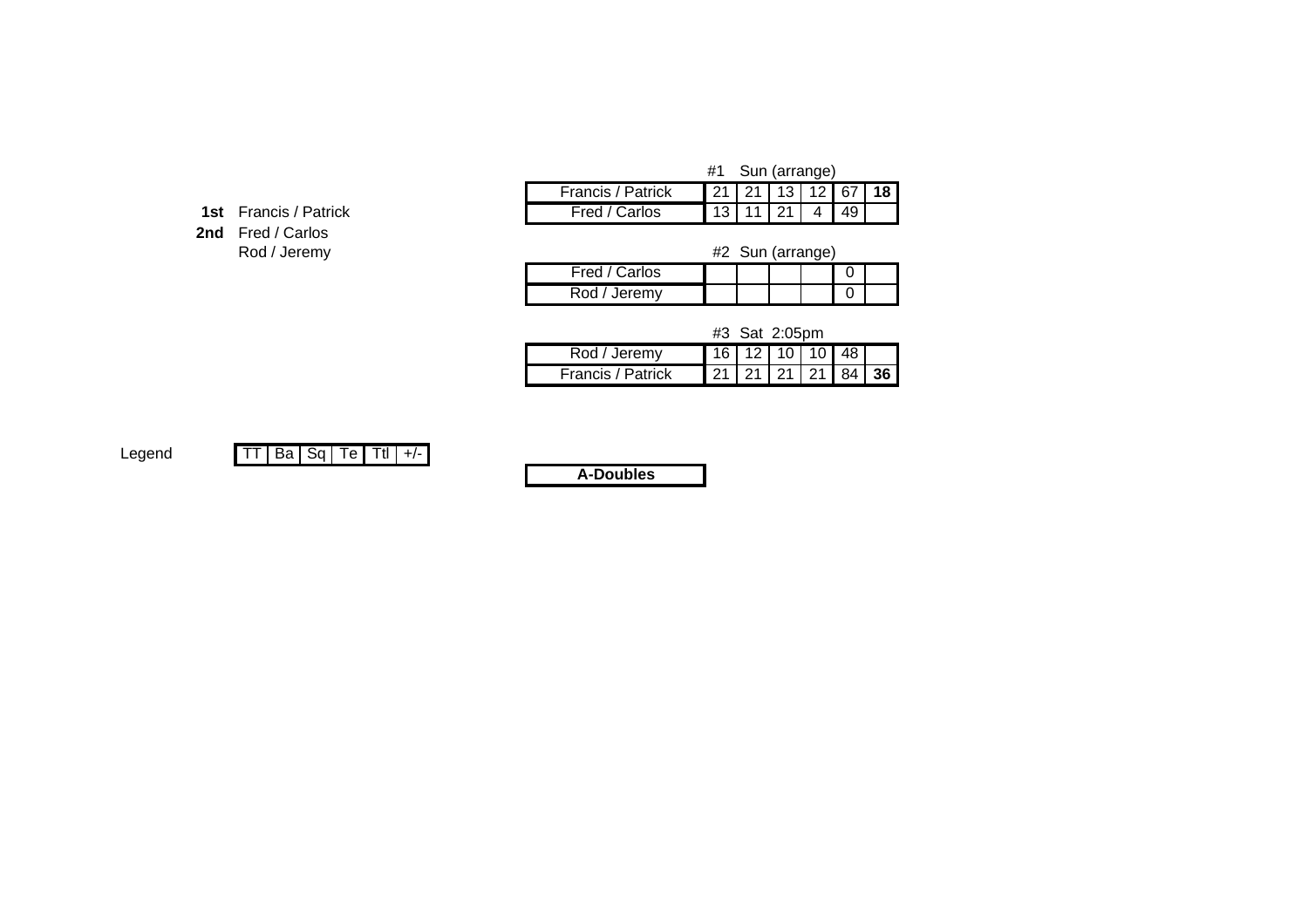| #1 Sun (arrang |  |  |
|----------------|--|--|
|                |  |  |

| <b>1st</b> Francis / Patrick |
|------------------------------|
| <b>2nd</b> Fred / Carlos     |
| Rod / Jeremy                 |

|   |                   | #1                          | Sun (arrange) |       |  |
|---|-------------------|-----------------------------|---------------|-------|--|
|   | Francis / Patrick | 21   21   13   12   67   18 |               |       |  |
| k | Fred / Carlos     |                             | 13   11   21  | 41491 |  |
|   |                   |                             |               |       |  |

 #2#2 Sun (arrange)

| Fred<br>l / Carlos |  |  |  |
|--------------------|--|--|--|
| Jeremv             |  |  |  |

#3 Sat 2:05pm

| Rod / Jeremy             |  | $16$ 12 10 10 48  |  |  |
|--------------------------|--|-------------------|--|--|
| <b>Francis / Patrick</b> |  | 21 21 21 21 84 36 |  |  |

Legend

TT Ba Sq Te Ttl +/-

**A-Doubles**